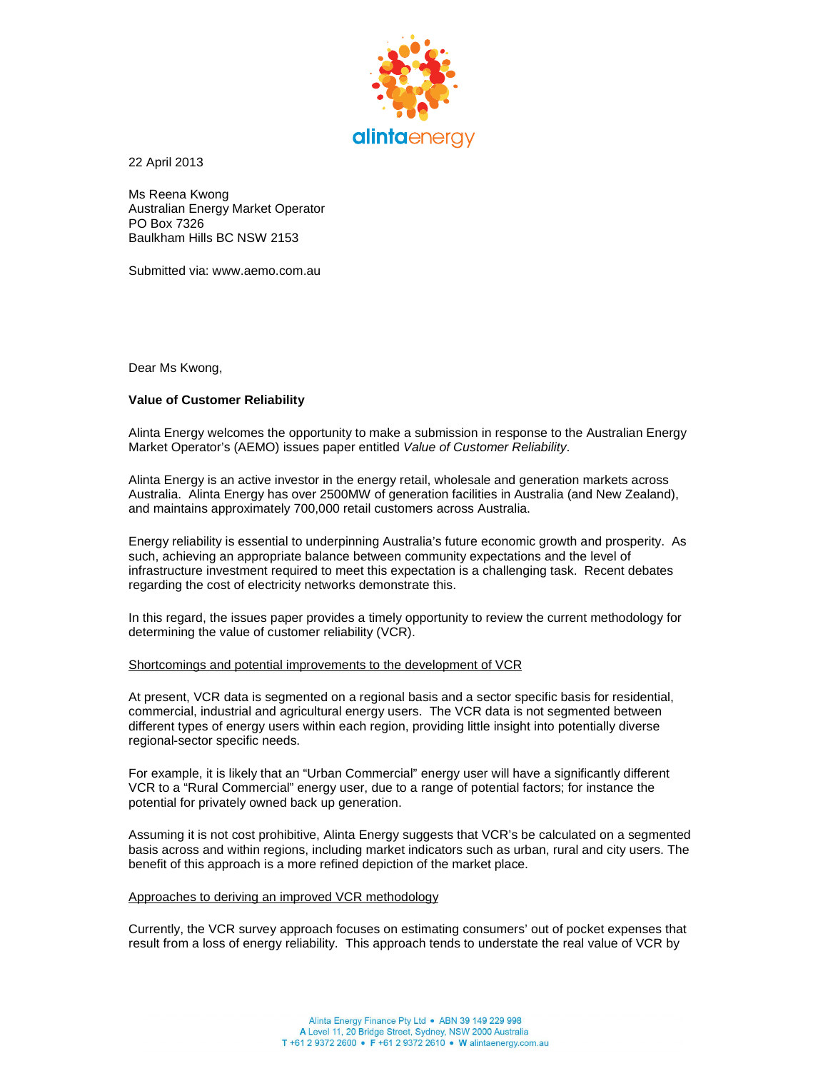

22 April 2013

Ms Reena Kwong Australian Energy Market Operator PO Box 7326 Baulkham Hills BC NSW 2153

Submitted via: www.aemo.com.au

Dear Ms Kwong,

# **Value of Customer Reliability**

Alinta Energy welcomes the opportunity to make a submission in response to the Australian Energy Market Operator's (AEMO) issues paper entitled Value of Customer Reliability.

Alinta Energy is an active investor in the energy retail, wholesale and generation markets across Australia. Alinta Energy has over 2500MW of generation facilities in Australia (and New Zealand), and maintains approximately 700,000 retail customers across Australia.

Energy reliability is essential to underpinning Australia's future economic growth and prosperity. As such, achieving an appropriate balance between community expectations and the level of infrastructure investment required to meet this expectation is a challenging task. Recent debates regarding the cost of electricity networks demonstrate this.

In this regard, the issues paper provides a timely opportunity to review the current methodology for determining the value of customer reliability (VCR).

# Shortcomings and potential improvements to the development of VCR

At present, VCR data is segmented on a regional basis and a sector specific basis for residential, commercial, industrial and agricultural energy users. The VCR data is not segmented between different types of energy users within each region, providing little insight into potentially diverse regional-sector specific needs.

For example, it is likely that an "Urban Commercial" energy user will have a significantly different VCR to a "Rural Commercial" energy user, due to a range of potential factors; for instance the potential for privately owned back up generation.

Assuming it is not cost prohibitive, Alinta Energy suggests that VCR's be calculated on a segmented basis across and within regions, including market indicators such as urban, rural and city users. The benefit of this approach is a more refined depiction of the market place.

# Approaches to deriving an improved VCR methodology

Currently, the VCR survey approach focuses on estimating consumers' out of pocket expenses that result from a loss of energy reliability. This approach tends to understate the real value of VCR by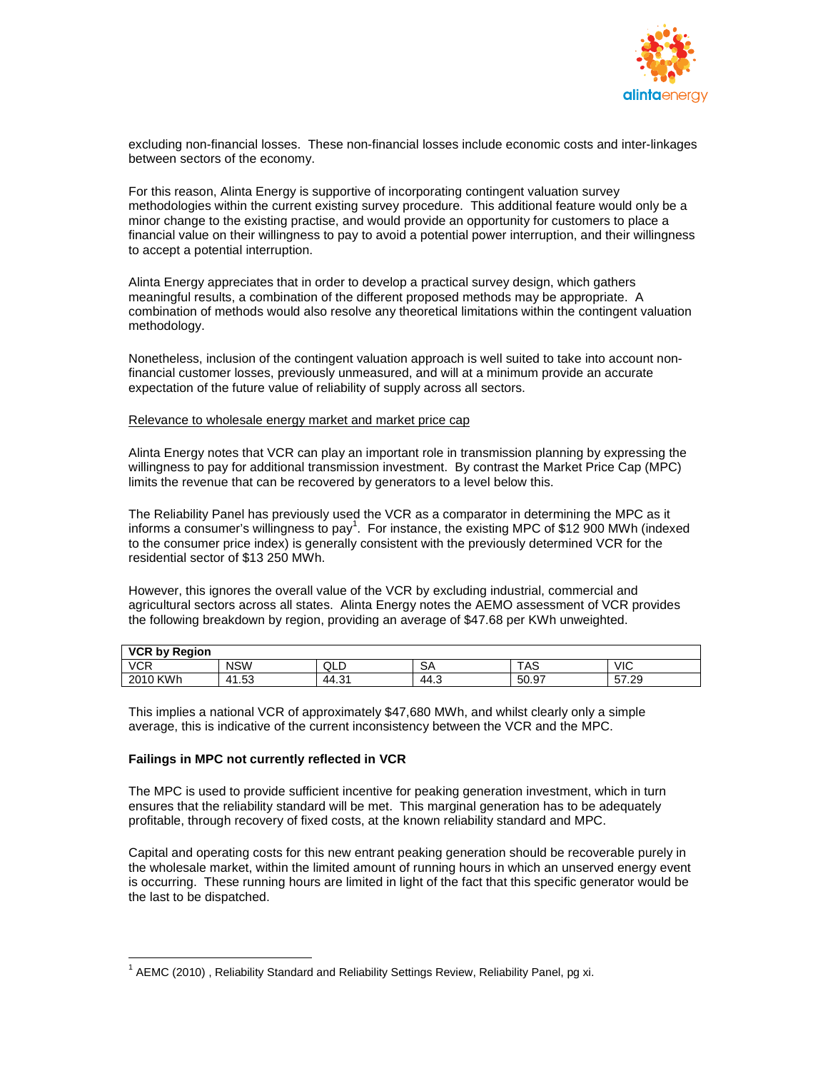

excluding non-financial losses. These non-financial losses include economic costs and inter-linkages between sectors of the economy.

For this reason, Alinta Energy is supportive of incorporating contingent valuation survey methodologies within the current existing survey procedure. This additional feature would only be a minor change to the existing practise, and would provide an opportunity for customers to place a financial value on their willingness to pay to avoid a potential power interruption, and their willingness to accept a potential interruption.

Alinta Energy appreciates that in order to develop a practical survey design, which gathers meaningful results, a combination of the different proposed methods may be appropriate. A combination of methods would also resolve any theoretical limitations within the contingent valuation methodology.

Nonetheless, inclusion of the contingent valuation approach is well suited to take into account nonfinancial customer losses, previously unmeasured, and will at a minimum provide an accurate expectation of the future value of reliability of supply across all sectors.

### Relevance to wholesale energy market and market price cap

Alinta Energy notes that VCR can play an important role in transmission planning by expressing the willingness to pay for additional transmission investment. By contrast the Market Price Cap (MPC) limits the revenue that can be recovered by generators to a level below this.

The Reliability Panel has previously used the VCR as a comparator in determining the MPC as it informs a consumer's willingness to pay<sup>1</sup>. For instance, the existing MPC of \$12 900 MWh (indexed to the consumer price index) is generally consistent with the previously determined VCR for the residential sector of \$13 250 MWh.

However, this ignores the overall value of the VCR by excluding industrial, commercial and agricultural sectors across all states. Alinta Energy notes the AEMO assessment of VCR provides the following breakdown by region, providing an average of \$47.68 per KWh unweighted.

| <b>VCR by Region</b> |                        |      |      |       |       |
|----------------------|------------------------|------|------|-------|-------|
| <b>VCR</b>           | <b>NSW</b>             | QLD  | SA   | TAS   | VIC   |
| 2010 KWh             | 1.53<br>4 <sup>1</sup> | 44.3 | 44.3 | 50.97 | 57.29 |

This implies a national VCR of approximately \$47,680 MWh, and whilst clearly only a simple average, this is indicative of the current inconsistency between the VCR and the MPC.

# **Failings in MPC not currently reflected in VCR**

The MPC is used to provide sufficient incentive for peaking generation investment, which in turn ensures that the reliability standard will be met. This marginal generation has to be adequately profitable, through recovery of fixed costs, at the known reliability standard and MPC.

Capital and operating costs for this new entrant peaking generation should be recoverable purely in the wholesale market, within the limited amount of running hours in which an unserved energy event is occurring. These running hours are limited in light of the fact that this specific generator would be the last to be dispatched.

<sup>-</sup> $1$  AEMC (2010), Reliability Standard and Reliability Settings Review, Reliability Panel, pg xi.